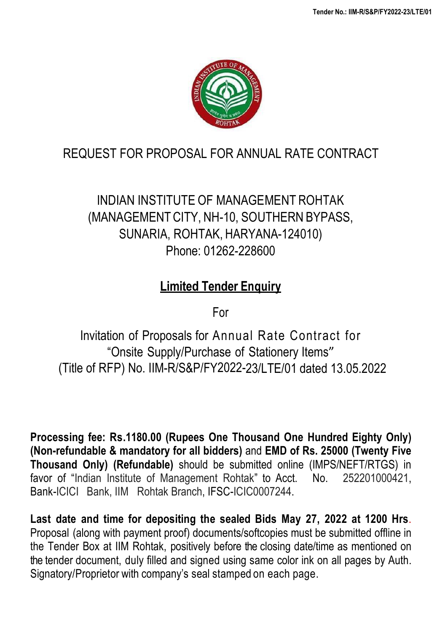

# REQUEST FOR PROPOSAL FOR ANNUAL RATE CONTRACT

# INDIAN INSTITUTE OF MANAGEMENT ROHTAK (MANAGEMENTCITY, NH-10, SOUTHERN BYPASS, SUNARIA, ROHTAK, HARYANA-124010) Phone: 01262-228600

# **Limited Tender Enquiry**

For

Invitation of Proposals for Annual Rate Contract for "Onsite Supply/Purchase of Stationery Items" (Title of RFP) No. IIM-R/S&P/FY2022-23/LTE/01 dated 13.05.2022

**Processing fee: Rs.1180.00 (Rupees One Thousand One Hundred Eighty Only) (Non-refundable & mandatory for all bidders)** and **EMD of Rs. 25000 (Twenty Five Thousand Only) (Refundable)** should be submitted online (IMPS/NEFT/RTGS) in favor of "Indian Institute of Management Rohtak" to Acct. No. 252201000421, Bank-ICICI Bank, IIM Rohtak Branch, IFSC-ICIC0007244.

**Last date and time for depositing the sealed Bids May 27, 2022 at 1200 Hrs**. Proposal (along with payment proof) documents/softcopies must be submitted offline in the Tender Box at IIM Rohtak, positively before the closing date/time as mentioned on the tender document, duly filled and signed using same color ink on all pages by Auth. Signatory/Proprietor with company's seal stamped on each page.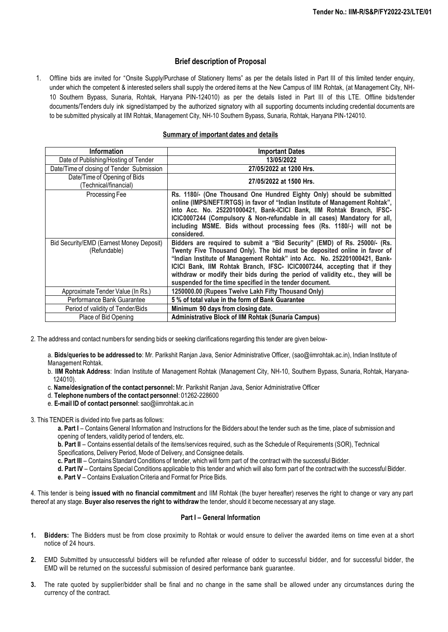### **Brief description of Proposal**

1. Offline bids are invited for "Onsite Supply/Purchase of Stationery Items" as per the details listed in Part III of this limited tender enquiry, under which the competent & interested sellers shall supply the ordered items at the New Campus of IIM Rohtak, (at Management City, NH-10 Southern Bypass, Sunaria, Rohtak, Haryana PIN-124010) as per the details listed in Part III of this LTE. Offline bids/tender documents/Tenders duly ink signed/stamped by the authorized signatory with all supporting documents including credential documents are to be submitted physically at IIM Rohtak, Management City, NH-10 Southern Bypass, Sunaria, Rohtak, Haryana PIN-124010.

#### **Summary of important dates and details**

| <b>Information</b>                                       | <b>Important Dates</b>                                                                                                                                                                                                                                                                                                                                                                                                                                       |
|----------------------------------------------------------|--------------------------------------------------------------------------------------------------------------------------------------------------------------------------------------------------------------------------------------------------------------------------------------------------------------------------------------------------------------------------------------------------------------------------------------------------------------|
| Date of Publishing/Hosting of Tender                     | 13/05/2022                                                                                                                                                                                                                                                                                                                                                                                                                                                   |
| Date/Time of closing of Tender Submission                | 27/05/2022 at 1200 Hrs.                                                                                                                                                                                                                                                                                                                                                                                                                                      |
| Date/Time of Opening of Bids<br>(Technical/financial)    | 27/05/2022 at 1500 Hrs.                                                                                                                                                                                                                                                                                                                                                                                                                                      |
| Processing Fee                                           | Rs. 1180/- (One Thousand One Hundred Eighty Only) should be submitted<br>online (IMPS/NEFT/RTGS) in favor of "Indian Institute of Management Rohtak",<br>into Acc. No. 252201000421, Bank-ICICI Bank, IIM Rohtak Branch, IFSC-<br>ICIC0007244 (Compulsory & Non-refundable in all cases) Mandatory for all,<br>including MSME. Bids without processing fees (Rs. 1180/-) will not be<br>considered.                                                          |
| Bid Security/EMD (Earnest Money Deposit)<br>(Refundable) | Bidders are required to submit a "Bid Security" (EMD) of Rs. 25000/- (Rs.<br>Twenty Five Thousand Only). The bid must be deposited online in favor of<br>"Indian Institute of Management Rohtak" into Acc. No. 252201000421, Bank-<br>ICICI Bank, IIM Rohtak Branch, IFSC- ICIC0007244, accepting that if they<br>withdraw or modify their bids during the period of validity etc., they will be<br>suspended for the time specified in the tender document. |
| Approximate Tender Value (In Rs.)                        | 1250000.00 (Rupees Twelve Lakh Fifty Thousand Only)                                                                                                                                                                                                                                                                                                                                                                                                          |
| Performance Bank Guarantee                               | 5% of total value in the form of Bank Guarantee                                                                                                                                                                                                                                                                                                                                                                                                              |
| Period of validity of Tender/Bids                        | Minimum 90 days from closing date.                                                                                                                                                                                                                                                                                                                                                                                                                           |
| Place of Bid Opening                                     | <b>Administrative Block of IIM Rohtak (Sunaria Campus)</b>                                                                                                                                                                                                                                                                                                                                                                                                   |

2. The address and contact numbers for sending bids or seeking clarifications regarding this tender are given below-

a. **Bids/queries to be addressed to**: Mr. Parikshit Ranjan Java, Senior Administrative Officer, (sao@iimrohtak.ac.in), Indian Institute of Management Rohtak.

b. **IIM Rohtak Address**: Indian Institute of Management Rohtak (Management City, NH-10, Southern Bypass, Sunaria, Rohtak, Haryana-124010).

- c. **Name/designation of the contact personnel:**Mr. Parikshit Ranjan Java, Senior Administrative Officer
- d. **Telephone numbers of the contact personnel**: 01262-228600
- e. **E-mail ID of contact personnel**: sao@iimrohtak.ac.in

3. This TENDER is divided into five parts as follows:

**a. Part I** – Contains General Information and Instructions for the Bidders about the tender such as the time, place of submission and opening of tenders, validity period of tenders, etc.

**b. Part II** – Contains essential details of the items/services required, such as the Schedule of Requirements (SOR), Technical Specifications, Delivery Period, Mode of Delivery, and Consignee details.

**c. Part III** – Contains Standard Conditions of tender, which will form part of the contract with the successful Bidder.

**d. Part IV** – Contains Special Conditions applicable to this tender and which will also form part of the contract with the successful Bidder.

**e. Part V** – Contains Evaluation Criteria and Format for Price Bids.

4. This tender is being **issued with no financial commitment** and IIM Rohtak (the buyer hereafter) reserves the right to change or vary any part thereof at any stage. **Buyer also reserves the right to withdraw** the tender, should it become necessary at any stage.

#### **Part I – General Information**

- **1. Bidders:** The Bidders must be from close proximity to Rohtak or would ensure to deliver the awarded items on time even at a short notice of 24 hours.
- **2.** EMD Submitted by unsuccessful bidders will be refunded after release of odder to successful bidder, and for successful bidder, the EMD will be returned on the successful submission of desired performance bank guarantee.
- **3.** The rate quoted by supplier/bidder shall be final and no change in the same shall be allowed under any circumstances during the currency of the contract.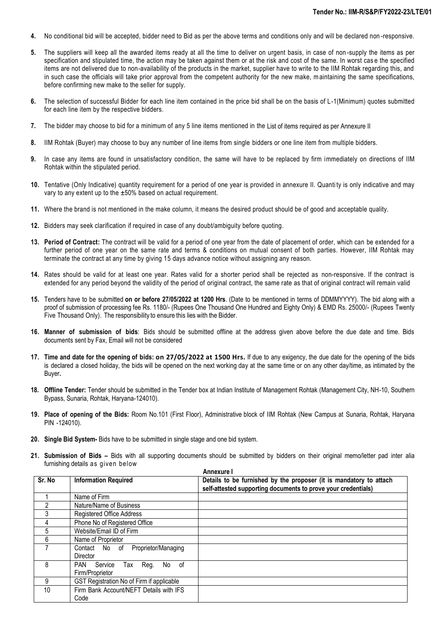- **4.** No conditional bid will be accepted, bidder need to Bid as per the above terms and conditions only and will be declared non -responsive.
- **5.** The suppliers will keep all the awarded items ready at all the time to deliver on urgent basis, in case of non -supply the items as per specification and stipulated time, the action may be taken against them or at the risk and cost of the same. In worst cas e the specified items are not delivered due to non-availability of the products in the market, supplier have to write to the IIM Rohtak regarding this, and in such case the officials will take prior approval from the competent authority for the new make, maintaining the same specifications, before confirming new make to the seller for supply.
- **6.** The selection of successful Bidder for each line item contained in the price bid shall be on the basis of L-1(Minimum) quotes submitted for each line item by the respective bidders.
- **7.** The bidder may choose to bid for a minimum of any 5 line items mentioned in the List of items required as per Annexure II
- **8.** IIM Rohtak (Buyer) may choose to buy any number of line items from single bidders or one line item from multiple bidders.
- **9.** In case any items are found in unsatisfactory condition, the same will have to be replaced by firm immediately on directions of IIM Rohtak within the stipulated period.
- **10.** Tentative (Only Indicative) quantity requirement for a period of one year is provided in annexure II. Quanti ty is only indicative and may vary to any extent up to the ±50% based on actual requirement.
- **11.** Where the brand is not mentioned in the make column, it means the desired product should be of good and acceptable quality.
- **12.** Bidders may seek clarification if required in case of any doubt/ambiguity before quoting.
- **13. Period of Contract:** The contract will be valid for a period of one year from the date of placement of order, which can be extended for a further period of one year on the same rate and terms & conditions on mutual consent of both parties. However, IIM Rohtak may terminate the contract at any time by giving 15 days advance notice without assigning any reason.
- **14.** Rates should be valid for at least one year. Rates valid for a shorter period shall be rejected as non-responsive. If the contract is extended for any period beyond the validity of the period of original contract, the same rate as that of original contract will remain valid
- **15.** Tenders have to be submitted **on or before 27/05/2022 at 1200 Hrs**. (Date to be mentioned in terms of DDMMYYYY). The bid along with a proof of submission of processing fee Rs. 1180/- (Rupees One Thousand One Hundred and Eighty Only) & EMD Rs. 25000/- (Rupees Twenty Five Thousand Only). The responsibility to ensure this lies with the Bidder.
- **16. Manner of submission of bids**: Bids should be submitted offline at the address given above before the due date and time. Bids documents sent by Fax, Email will not be considered
- 17. Time and date for the opening of bids: on 27/05/2022 at 1500 Hrs. If due to any exigency, the due date for the opening of the bids is declared a closed holiday, the bids will be opened on the next working day at the same time or on any other day/time, as intimated by the Buyer**.**
- **18. Offline Tender:** Tender should be submitted in the Tender box at Indian Institute of Management Rohtak (Management City, NH-10, Southern Bypass, Sunaria, Rohtak, Haryana-124010).
- **19. Place of opening of the Bids:** Room No.101 (First Floor), Administrative block of IIM Rohtak (New Campus at Sunaria, Rohtak, Haryana PIN -124010).
- **20. Single Bid System-** Bids have to be submitted in single stage and one bid system.
- **21. Submission of Bids –** Bids with all supporting documents should be submitted by bidders on their original memo/letter pad inter alia furnishing details as given below **Annexure I**

| Sr. No | <b>Information Required</b>                             | Details to be furnished by the proposer (it is mandatory to attach<br>self-attested supporting documents to prove your credentials) |
|--------|---------------------------------------------------------|-------------------------------------------------------------------------------------------------------------------------------------|
|        | Name of Firm                                            |                                                                                                                                     |
| 2      | Nature/Name of Business                                 |                                                                                                                                     |
| 3      | <b>Registered Office Address</b>                        |                                                                                                                                     |
| 4      | Phone No of Registered Office                           |                                                                                                                                     |
| 5      | Website/Email ID of Firm                                |                                                                                                                                     |
| 6      | Name of Proprietor                                      |                                                                                                                                     |
|        | Proprietor/Managing<br>Contact No of<br><b>Director</b> |                                                                                                                                     |
| 8      | PAN<br>Reg.<br>Service<br>No of<br>Tax                  |                                                                                                                                     |
|        | Firm/Proprietor                                         |                                                                                                                                     |
| 9      | GST Registration No of Firm if applicable               |                                                                                                                                     |
| 10     | Firm Bank Account/NEFT Details with IFS<br>Code         |                                                                                                                                     |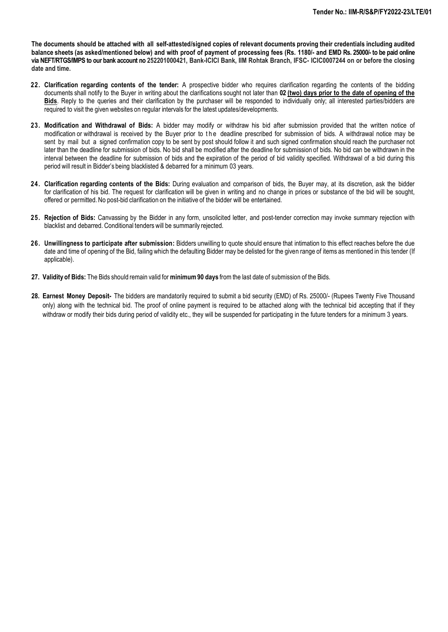The documents should be attached with all self-attested/signed copies of relevant documents proving their credentials including audited **balance sheets (as asked/mentioned below) and with proof of payment of processing fees (Rs. 1180/- and EMD Rs. 25000/- to be paid online via NEFT/RTGS/IMPS to our bank account no 252201000421, Bank-ICICI Bank, IIM Rohtak Branch, IFSC- ICIC0007244 on or before the closing date and time.** 

- **22. Clarification regarding contents of the tender:** A prospective bidder who requires clarification regarding the contents of the bidding documents shall notify to the Buyer in writing about the clarifications sought not later than **02 (two) days prior to the date of opening of the Bids**. Reply to the queries and their clarification by the purchaser will be responded to individually only; all interested parties/bidders are required to visit the given websites on regular intervals for the latest updates/developments.
- **23. Modification and Withdrawal of Bids:** A bidder may modify or withdraw his bid after submission provided that the written notice of modification or withdrawal is received by the Buyer prior to the deadline prescribed for submission of bids. A withdrawal notice may be sent by mail but a signed confirmation copy to be sent by post should follow it and such signed confirmation should reach the purchaser not later than the deadline for submission of bids. No bid shall be modified after the deadline for submission of bids. No bid can be withdrawn in the interval between the deadline for submission of bids and the expiration of the period of bid validity specified. Withdrawal of a bid during this period will result in Bidder's being blacklisted & debarred for a minimum 03 years.
- **24. Clarification regarding contents of the Bids:** During evaluation and comparison of bids, the Buyer may, at its discretion, ask the bidder for clarification of his bid. The request for clarification will be given in writing and no change in prices or substance of the bid will be sought, offered or permitted. No post-bid clarification on the initiative of the bidder will be entertained.
- **25. Rejection of Bids:** Canvassing by the Bidder in any form, unsolicited letter, and post-tender correction may invoke summary rejection with blacklist and debarred. Conditional tenders will be summarily rejected.
- **26. Unwillingness to participate after submission:** Bidders unwilling to quote should ensure that intimation to this effect reaches before the due date and time of opening of the Bid, failing which the defaulting Bidder may be delisted for the given range of items as mentioned in this tender (If applicable).
- **27. Validity of Bids:** The Bids should remain valid for **minimum90 days** from the last date of submission of the Bids.
- **28. Earnest Money Deposit-** The bidders are mandatorily required to submit a bid security (EMD) of Rs. 25000/- (Rupees Twenty Five Thousand only) along with the technical bid. The proof of online payment is required to be attached along with the technical bid accepting that if they withdraw or modify their bids during period of validity etc., they will be suspended for participating in the future tenders for a minimum 3 years.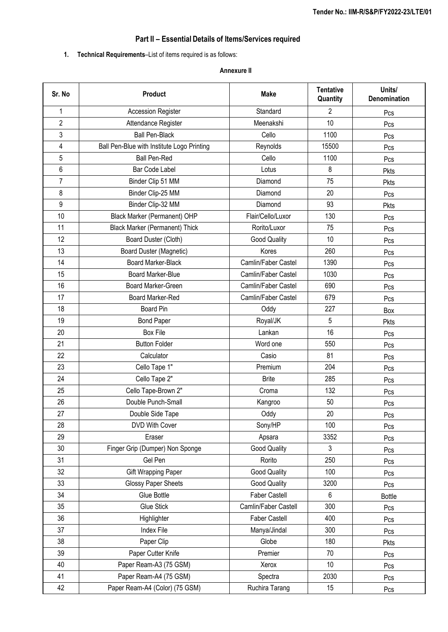# **Part II – Essential Details of Items/Services required**

# **1. Technical Requirements**–List of items required is as follows:

### **Annexure II**

| Sr. No         | Product                                    | <b>Make</b>          | <b>Tentative</b><br>Quantity | Units/<br>Denomination |
|----------------|--------------------------------------------|----------------------|------------------------------|------------------------|
| 1              | <b>Accession Register</b>                  | Standard             | $\overline{2}$               | Pcs                    |
| $\overline{2}$ | Attendance Register                        | Meenakshi            | 10                           | Pcs                    |
| 3              | <b>Ball Pen-Black</b>                      | Cello                | 1100                         | Pcs                    |
| 4              | Ball Pen-Blue with Institute Logo Printing | Reynolds             | 15500                        | Pcs                    |
| 5              | <b>Ball Pen-Red</b>                        | Cello                | 1100                         | Pcs                    |
| 6              | Bar Code Label                             | Lotus                | 8                            | Pkts                   |
| $\overline{7}$ | Binder Clip 51 MM                          | Diamond              | 75                           | Pkts                   |
| 8              | Binder Clip-25 MM                          | Diamond              | 20                           | Pcs                    |
| 9              | Binder Clip-32 MM                          | Diamond              | 93                           | Pkts                   |
| 10             | Black Marker (Permanent) OHP               | Flair/Cello/Luxor    | 130                          | Pcs                    |
| 11             | <b>Black Marker (Permanent) Thick</b>      | Rorito/Luxor         | 75                           | Pcs                    |
| 12             | Board Duster (Cloth)                       | Good Quality         | 10                           | Pcs                    |
| 13             | Board Duster (Magnetic)                    | Kores                | 260                          | Pcs                    |
| 14             | <b>Board Marker-Black</b>                  | Camlin/Faber Castel  | 1390                         | Pcs                    |
| 15             | <b>Board Marker-Blue</b>                   | Camlin/Faber Castel  | 1030                         | Pcs                    |
| 16             | Board Marker-Green                         | Camlin/Faber Castel  | 690                          | Pcs                    |
| 17             | Board Marker-Red                           | Camlin/Faber Castel  | 679                          | Pcs                    |
| 18             | <b>Board Pin</b>                           | Oddy                 | 227                          | Box                    |
| 19             | <b>Bond Paper</b>                          | Royal/JK             | 5                            | Pkts                   |
| 20             | Box File                                   | Lankan               | 16                           | Pcs                    |
| 21             | <b>Button Folder</b>                       | Word one             | 550                          | Pcs                    |
| 22             | Calculator                                 | Casio                | 81                           | Pcs                    |
| 23             | Cello Tape 1"                              | Premium              | 204                          | Pcs                    |
| 24             | Cello Tape 2"                              | <b>Brite</b>         | 285                          | Pcs                    |
| 25             | Cello Tape-Brown 2"                        | Croma                | 132                          | Pcs                    |
| 26             | Double Punch-Small                         | Kangroo              | 50                           | Pcs                    |
| 27             | Double Side Tape                           | Oddy                 | 20                           | Pcs                    |
| 28             | DVD With Cover                             | Sony/HP              | 100                          | Pcs                    |
| 29             | Eraser                                     | Apsara               | 3352                         | Pcs                    |
| 30             | Finger Grip (Dumper) Non Sponge            | Good Quality         | 3                            | Pcs                    |
| 31             | Gel Pen                                    | Rorito               | 250                          | Pcs                    |
| 32             | Gift Wrapping Paper                        | Good Quality         | 100                          | Pcs                    |
| 33             | Glossy Paper Sheets                        | Good Quality         | 3200                         | Pcs                    |
| 34             | Glue Bottle                                | <b>Faber Castell</b> | 6                            | <b>Bottle</b>          |
| 35             | <b>Glue Stick</b>                          | Camlin/Faber Castell | 300                          | Pcs                    |
| 36             | Highlighter                                | Faber Castell        | 400                          | Pcs                    |
| 37             | Index File                                 | Manya/Jindal         | 300                          | Pcs                    |
| 38             | Paper Clip                                 | Globe                | 180                          | Pkts                   |
| 39             | Paper Cutter Knife                         | Premier              | 70                           | Pcs                    |
| 40             | Paper Ream-A3 (75 GSM)                     | Xerox                | 10                           | Pcs                    |
| 41             | Paper Ream-A4 (75 GSM)                     | Spectra              | 2030                         | Pcs                    |
| 42             | Paper Ream-A4 (Color) (75 GSM)             | Ruchira Tarang       | 15                           | Pcs                    |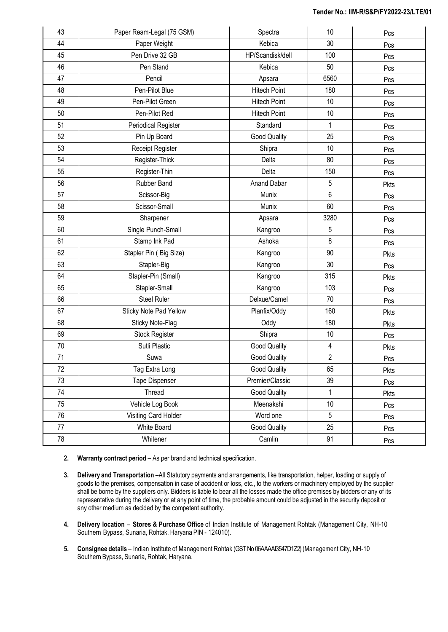| 43 | Paper Ream-Legal (75 GSM) | Spectra             | 10                      | Pcs  |
|----|---------------------------|---------------------|-------------------------|------|
| 44 | Paper Weight              | Kebica              | 30                      | Pcs  |
| 45 | Pen Drive 32 GB           | HP/Scandisk/dell    | 100                     | Pcs  |
| 46 | Pen Stand                 | Kebica              | 50                      | Pcs  |
| 47 | Pencil                    | Apsara              | 6560                    | Pcs  |
| 48 | Pen-Pilot Blue            | <b>Hitech Point</b> | 180                     | Pcs  |
| 49 | Pen-Pilot Green           | <b>Hitech Point</b> | 10                      | Pcs  |
| 50 | Pen-Pilot Red             | <b>Hitech Point</b> | 10                      | Pcs  |
| 51 | Periodical Register       | Standard            | 1                       | Pcs  |
| 52 | Pin Up Board              | Good Quality        | 25                      | Pcs  |
| 53 | Receipt Register          | Shipra              | 10                      | Pcs  |
| 54 | Register-Thick            | Delta               | 80                      | Pcs  |
| 55 | Register-Thin             | Delta               | 150                     | Pcs  |
| 56 | Rubber Band               | Anand Dabar         | 5                       | Pkts |
| 57 | Scissor-Big               | Munix               | 6                       | Pcs  |
| 58 | Scissor-Small             | Munix               | 60                      | Pcs  |
| 59 | Sharpener                 | Apsara              | 3280                    | Pcs  |
| 60 | Single Punch-Small        | Kangroo             | 5                       | Pcs  |
| 61 | Stamp Ink Pad             | Ashoka              | 8                       | Pcs  |
| 62 | Stapler Pin (Big Size)    | Kangroo             | 90                      | Pkts |
| 63 | Stapler-Big               | Kangroo             | 30                      | Pcs  |
| 64 | Stapler-Pin (Small)       | Kangroo             | 315                     | Pkts |
| 65 | Stapler-Small             | Kangroo             | 103                     | Pcs  |
| 66 | <b>Steel Ruler</b>        | Delxue/Camel        | 70                      | Pcs  |
| 67 | Sticky Note Pad Yellow    | Planfix/Oddy        | 160                     | Pkts |
| 68 | Sticky Note-Flag          | Oddy                | 180                     | Pkts |
| 69 | Stock Register            | Shipra              | 10                      | Pcs  |
| 70 | Sutli Plastic             | <b>Good Quality</b> | $\overline{\mathbf{4}}$ | Pkts |
| 71 | Suwa                      | <b>Good Quality</b> | $\overline{2}$          | Pcs  |
| 72 | Tag Extra Long            | <b>Good Quality</b> | 65                      | Pkts |
| 73 | <b>Tape Dispenser</b>     | Premier/Classic     | 39                      | Pcs  |
| 74 | Thread                    | <b>Good Quality</b> | 1                       | Pkts |
| 75 | Vehicle Log Book          | Meenakshi           | 10                      | Pcs  |
| 76 | Visiting Card Holder      | Word one            | 5                       | Pcs  |
| 77 | White Board               | Good Quality        | 25                      | Pcs  |
| 78 | Whitener                  | Camlin              | 91                      | Pcs  |

- **2. Warranty contract period** As per brand and technical specification.
- **3. Delivery and Transportation** –All Statutory payments and arrangements, like transportation, helper, loading or supply of goods to the premises, compensation in case of accident or loss, etc., to the workers or machinery employed by the supplier shall be borne by the suppliers only. Bidders is liable to bear all the losses made the office premises by bidders or any of its representative during the delivery or at any point of time, the probable amount could be adjusted in the security deposit or any other medium as decided by the competent authority.
- **4. Delivery location Stores & Purchase Office** of Indian Institute of Management Rohtak (Management City, NH-10 Southern Bypass, Sunaria, Rohtak, Haryana PIN - 124010).
- **5. Consignee details** Indian Institute of Management Rohtak (GST No 06AAAAI3547D1Z2) (Management City, NH-10 Southern Bypass, Sunaria, Rohtak, Haryana.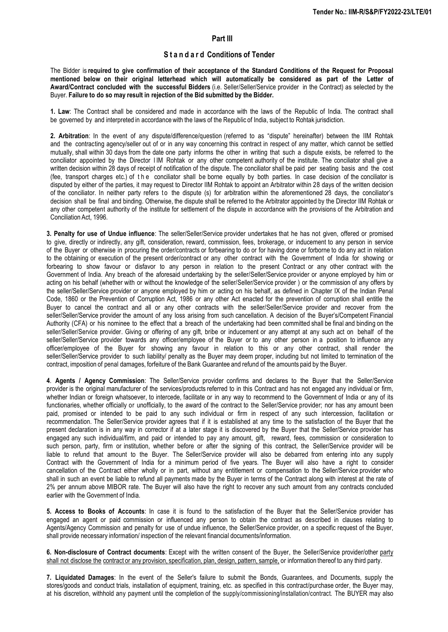#### **Part III**

# **S t a n d a r d Conditions of Tender**

The Bidder is required to give confirmation of their acceptance of the Standard Conditions of the Request for Proposal **mentioned below on their original letterhead which will automatically be considered as part of the Letter of Award/Contract concluded with the successful Bidders** (i.e. Seller/Seller/Service provider in the Contract) as selected by the Buyer. **Failure to do so may result in rejection of the Bid submitted by the Bidder.**

**1. Law**: The Contract shall be considered and made in accordance with the laws of the Republic of India. The contract shall be governed by and interpreted in accordance with the laws of the Republic of India, subject to Rohtak jurisdiction.

**2. Arbitration**: In the event of any dispute/difference/question (referred to as "dispute" hereinafter) between the IIM Rohtak and the contracting agency/seller out of or in any way concerning this contract in respect of any matter, which cannot be settled mutually, shall within 30 days from the date one party informs the other in writing that such a dispute exists, be referred to the conciliator appointed by the Director I IM Rohtak or any other competent authority of the institute. The conciliator shall give a written decision within 28 days of receipt of notification of the dispute. The conciliator shall be paid per seating basis and the cost (fee, transport charges etc.) of the conciliator shall be borne equally by both parties. In case decision of the conciliator is disputed by either of the parties, it may request to Director IIM Rohtak to appoint an Arbitrator within 28 days of the written decision of the conciliator. In neither party refers to the dispute (s) for arbitration within the aforementioned 28 days, the conciliator's decision shall be final and binding. Otherwise, the dispute shall be referred to the Arbitrator appointed by the Director IIM Rohtak or any other competent authority of the institute for settlement of the dispute in accordance with the provisions of the Arbitration and Conciliation Act, 1996.

**3. Penalty for use of Undue influence**: The seller/Seller/Service provider undertakes that he has not given, offered or promised to give, directly or indirectly, any gift, consideration, reward, commission, fees, brokerage, or inducement to any person in service of the Buyer or otherwise in procuring the order/contracts or forbearing to do or for having done or forborne to do any act in relation to the obtaining or execution of the present order/contract or any other contract with the Government of India for showing or forbearing to show favour or disfavor to any person in relation to the present Contract or any other contract with the Government of India. Any breach of the aforesaid undertaking by the seller/Seller/Service provider or anyone employed by him or acting on his behalf (whether with or without the knowledge of the seller/Seller/Service provider ) or the commission of any offers by the seller/Seller/Service provider or anyone employed by him or acting on his behalf, as defined in Chapter IX of the Indian Penal Code, 1860 or the Prevention of Corruption Act, 1986 or any other Act enacted for the prevention of corruption shall entitle the Buyer to cancel the contract and all or any other contracts with the seller/Seller/Service provider and recover from the seller/Seller/Service provider the amount of any loss arising from such cancellation. A decision of the Buyer's/Competent Financial Authority (CFA) or his nominee to the effect that a breach of the undertaking had been committed shall be final and binding on the seller/Seller/Service provider. Giving or offering of any gift, bribe or inducement or any attempt at any such act on behalf of the seller/Seller/Service provider towards any officer/employee of the Buyer or to any other person in a position to influence any officer/employee of the Buyer for showing any favour in relation to this or any other contract, shall render the seller/Seller/Service provider to such liability/ penalty as the Buyer may deem proper, including but not limited to termination of the contract, imposition of penal damages, forfeiture of the Bank Guarantee and refund of the amounts paid by the Buyer.

**4**. **Agents / Agency Commission**: The Seller/Service provider confirms and declares to the Buyer that the Seller/Service provider is the original manufacturer of the services/products referred to in this Contract and has not engaged any individual or firm, whether Indian or foreign whatsoever, to intercede, facilitate or in any way to recommend to the Government of India or any of its functionaries, whether officially or unofficially, to the award of the contract to the Seller/Service provider; nor has any amount been paid, promised or intended to be paid to any such individual or firm in respect of any such intercession, facilitation or recommendation. The Seller/Service provider agrees that if it is established at any time to the satisfaction of the Buyer that the present declaration is in any way in corrector if at a later stage it is discovered by the Buyer that the Seller/Service provider has engaged any such individual/firm, and paid or intended to pay any amount, gift, reward, fees, commission or consideration to such person, party, firm or institution, whether before or after the signing of this contract, the Seller/Service provider will be liable to refund that amount to the Buyer. The Seller/Service provider will also be debarred from entering into any supply Contract with the Government of India for a minimum period of five years. The Buyer will also have a right to consider cancellation of the Contract either wholly or in part, without any entitlement or compensation to the Seller/Service provider who shall in such an event be liable to refund all payments made by the Buyer in terms of the Contract along with interest at the rate of 2% per annum above MIBOR rate. The Buyer will also have the right to recover any such amount from any contracts concluded earlier with the Government of India.

**5. Access to Books of Accounts**: In case it is found to the satisfaction of the Buyer that the Seller/Service provider has engaged an agent or paid commission or influenced any person to obtain the contract as described in clauses relating to Agents/Agency Commission and penalty for use of undue influence, the Seller/Service provider, on a specific request of the Buyer, shall provide necessary information/ inspection of the relevant financial documents/information.

**6. Non-disclosure of Contract documents**: Except with the written consent of the Buyer, the Seller/Service provider/other party shall not disclose the contract or any provision, specification, plan, design, pattern, sample, or information thereof to any third party.

**7. Liquidated Damages**: In the event of the Seller's failure to submit the Bonds, Guarantees, and Documents, supply the stores/goods and conduct trials, installation of equipment, training, etc. as specified in this contract/purchase order, the Buyer may, at his discretion, withhold any payment until the completion of the supply/commissioning/installation/contract. The BUYER may also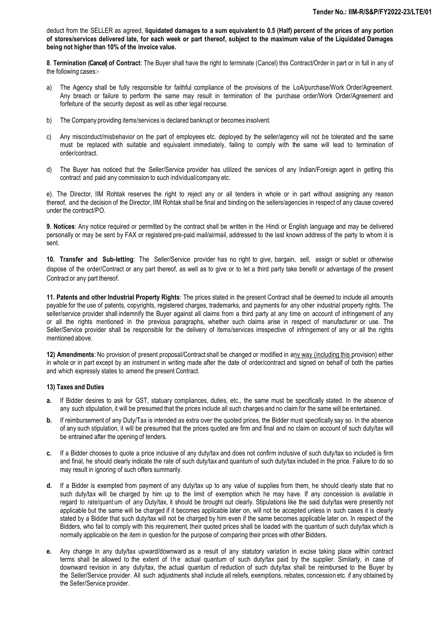deduct from the SELLER as agreed, **liquidated damages to a sum equivalent to 0.5 (Half) percent of the prices of any portion** of stores/services delivered late, for each week or part thereof, subject to the maximum value of the Liquidated Damages **being not higher than 10% of the invoice value.**

**8**. **Termination (Cancel) of Contract**: The Buyer shall have the right to terminate (Cancel) this Contract/Order in part or in full in any of the following cases:-

- a) The Agency shall be fully responsible for faithful compliance of the provisions of the LoA/purchase/Work Order/Agreement. Any breach or failure to perform the same may result in termination of the purchase order/Work Order/Agreement and forfeiture of the security deposit as well as other legal recourse.
- b) The Company providing items/services is declared bankrupt or becomes insolvent.
- c) Any misconduct/misbehavior on the part of employees etc. deployed by the seller/agency will not be tolerated and the same must be replaced with suitable and equivalent immediately, failing to comply with the same will lead to termination of order/contract.
- d) The Buyer has noticed that the Seller/Service provider has utilized the services of any Indian/Foreign agent in getting this contract and paid any commission to such individual/company etc.

e). The Director, IIM Rohtak reserves the right to reject any or all tenders in whole or in part without assigning any reason thereof, and the decision of the Director, IIM Rohtak shall be final and binding on the sellers/agencies in respect of any clause covered under the contract/PO.

**9. Notices**: Any notice required or permitted by the contract shall be written in the Hindi or English language and may be delivered personally or may be sent by FAX or registered pre-paid mail/airmail, addressed to the last known address of the party to whom it is sent.

**10. Transfer and Sub-letting**: The Seller/Service provider has no right to give, bargain, sell, assign or sublet or otherwise dispose of the order/Contract or any part thereof, as well as to give or to let a third party take benefit or advantage of the present Contract or any part thereof.

**11. Patents and other Industrial Property Rights**: The prices stated in the present Contract shall be deemed to include all amounts payable for the use of patents, copyrights, registered charges, trademarks, and payments for any other industrial property rights. The seller/service provider shall indemnify the Buyer against all claims from a third party at any time on account of infringement of any or all the rights mentioned in the previous paragraphs, whether such claims arise in respect of manufacturer or use. The Seller/Service provider shall be responsible for the delivery of items/services irrespective of infringement of any or all the rights mentioned above.

**12) Amendments**: No provision of present proposal/Contract shall be changed or modified in any way (including this provision) either in whole or in part except by an instrument in writing made after the date of order/contract and signed on behalf of both the parties and which expressly states to amend the present Contract.

#### **13) Taxes and Duties**

- **a.** If Bidder desires to ask for GST, statuary compliances, duties, etc., the same must be specifically stated. In the absence of any such stipulation, it will be presumed that the prices include all such charges and no claim for the same will be entertained.
- **b.** If reimbursement of any Duty/Tax is intended as extra over the quoted prices, the Bidder must specifically say so. In the absence of any such stipulation, it will be presumed that the prices quoted are firm and final and no claim on account of such duty/tax will be entrained after the opening of tenders.
- **c.** If a Bidder chooses to quote a price inclusive of any duty/tax and does not confirm inclusive of such duty/tax so included is firm and final, he should clearly indicate the rate of such duty/tax and quantum of such duty/tax included in the price. Failure to do so may result in ignoring of such offers summarily.
- **d.** If a Bidder is exempted from payment of any duty/tax up to any value of supplies from them, he should clearly state that no such duty/tax will be charged by him up to the limit of exemption which he may have. If any concession is available in regard to rate/quant um of any Duty/tax, it should be brought out clearly. Stipulations like the said duty/tax were presently not applicable but the same will be charged if it becomes applicable later on, will not be accepted unless in such cases it is clearly stated by a Bidder that such duty/tax will not be charged by him even if the same becomes applicable later on. In respect of the Bidders, who fail to comply with this requirement, their quoted prices shall be loaded with the quantum of such duty/tax which is normally applicable on the item in question for the purpose of comparing their prices with other Bidders.
- **e.** Any change in any duty/tax upward/downward as a result of any statutory variation in excise taking place within contract terms shall be allowed to the extent of the actual quantum of such duty/tax paid by the supplier. Similarly, in case of downward revision in any duty/tax, the actual quantum of reduction of such duty/tax shall be reimbursed to the Buyer by the Seller/Service provider. All such adjustments shall include all reliefs, exemptions, rebates, concession etc. if any obtained by the Seller/Service provider.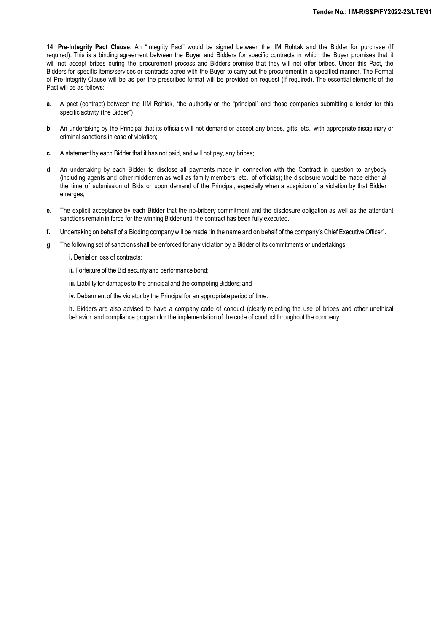**14**. **Pre-Integrity Pact Clause**: An "Integrity Pact" would be signed between the IIM Rohtak and the Bidder for purchase (If required). This is a binding agreement between the Buyer and Bidders for specific contracts in which the Buyer promises that it will not accept bribes during the procurement process and Bidders promise that they will not offer bribes. Under this Pact, the Bidders for specific items/services or contracts agree with the Buyer to carry out the procurement in a specified manner. The Format of Pre-Integrity Clause will be as per the prescribed format will be provided on request (If required). The essential elements of the Pact will be as follows:

- **a.** A pact (contract) between the IIM Rohtak, "the authority or the "principal" and those companies submitting a tender for this specific activity (the Bidder");
- **b.** An undertaking by the Principal that its officials will not demand or accept any bribes, gifts, etc., with appropriate disciplinary or criminal sanctions in case of violation;
- **c.** A statement by each Bidder that it has not paid, and will not pay, any bribes;
- **d.** An undertaking by each Bidder to disclose all payments made in connection with the Contract in question to anybody (including agents and other middlemen as well as family members, etc., of officials); the disclosure would be made either at the time of submission of Bids or upon demand of the Principal, especially when a suspicion of a violation by that Bidder emerges;
- **e.** The explicit acceptance by each Bidder that the no-bribery commitment and the disclosure obligation as well as the attendant sanctions remain in force for the winning Bidder until the contract has been fully executed.
- **f.** Undertaking on behalf of a Bidding companywill be made "in the name and on behalf of the company's Chief Executive Officer".
- **g.** The following set of sanctions shall be enforced for any violation by a Bidder of its commitments or undertakings:
	- **i.** Denial or loss of contracts;
	- **ii.** Forfeiture of the Bid security and performance bond;
	- **iii.** Liability for damages to the principal and the competing Bidders; and
	- **iv.** Debarment of the violator by the Principal for an appropriate period of time.

**h.** Bidders are also advised to have a company code of conduct (clearly rejecting the use of bribes and other unethical behavior and compliance program for the implementation of the code of conduct throughout the company.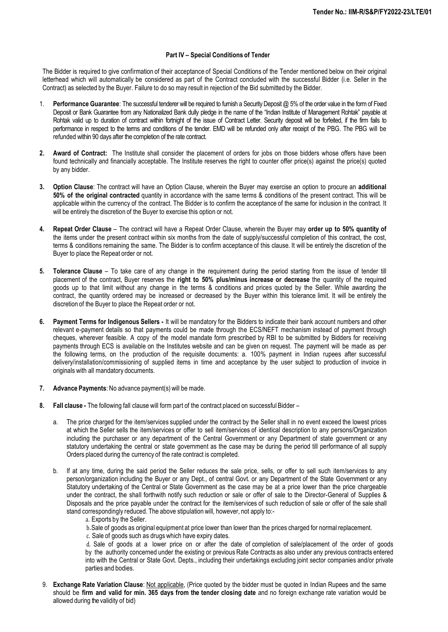#### **Part IV – Special Conditions of Tender**

The Bidder is required to give confirmation of their acceptance of Special Conditions of the Tender mentioned below on their original letterhead which will automatically be considered as part of the Contract concluded with the successful Bidder (i.e. Seller in the Contract) as selected by the Buyer. Failure to do so may result in rejection of the Bid submitted by the Bidder.

- 1. **Performance Guarantee**: The successful tenderer will be required to furnish a Security Deposit @ 5% of the order value in the form of Fixed Deposit or Bank Guarantee from any Nationalized Bank dully pledge in the name of the "Indian Institute of Management Rohtak" payable at Rohtak valid up to duration of contract within fortnight of the issue of Contract Letter. Security deposit will be forfeited, if the firm fails to performance in respect to the terms and conditions of the tender. EMD will be refunded only after receipt of the PBG. The PBG will be refunded within 90 days after the completion of the rate contract.
- **2. Award of Contract:** The Institute shall consider the placement of orders for jobs on those bidders whose offers have been found technically and financially acceptable. The Institute reserves the right to counter offer price(s) against the price(s) quoted by any bidder.
- **3. Option Clause**: The contract will have an Option Clause, wherein the Buyer may exercise an option to procure an **additional 50% of the original contracted** quantity in accordance with the same terms & conditions of the present contract. This will be applicable within the currency of the contract. The Bidder is to confirm the acceptance of the same for inclusion in the contract. It will be entirely the discretion of the Buyer to exercise this option or not.
- **4. Repeat Order Clause** The contract will have a Repeat Order Clause, wherein the Buyer may **order up to 50% quantity of** the items under the present contract within six months from the date of supply/successful completion of this contract, the cost, terms & conditions remaining the same. The Bidder is to confirm acceptance of this clause. It will be entirely the discretion of the Buyer to place the Repeat order or not.
- **5. Tolerance Clause** To take care of any change in the requirement during the period starting from the issue of tender till placement of the contract, Buyer reserves the **right to 50% plus/minus increase or decrease** the quantity of the required goods up to that limit without any change in the terms & conditions and prices quoted by the Seller. While awarding the contract, the quantity ordered may be increased or decreased by the Buyer within this tolerance limit. It will be entirely the discretion of the Buyer to place the Repeat order or not.
- **6. Payment Terms for Indigenous Sellers -** It will be mandatory for the Bidders to indicate their bank account numbers and other relevant e-payment details so that payments could be made through the ECS/NEFT mechanism instead of payment through cheques, wherever feasible. A copy of the model mandate form prescribed by RBI to be submitted by Bidders for receiving payments through ECS is available on the Institutes website and can be given on request. The payment will be made as per the following terms, on the production of the requisite documents: a. 100% payment in Indian rupees after successful delivery/installation/commissioning of supplied items in time and acceptance by the user subject to production of invoice in originals with all mandatory documents.
- **7. Advance Payments**: No advance payment(s) will be made.
- **8. Fall clause -** The following fall clause will form part of the contract placed on successful Bidder
	- a. The price charged for the item/services supplied under the contract by the Seller shall in no event exceed the lowest prices at which the Seller sells the item/services or offer to sell item/services of identical description to any persons/Organization including the purchaser or any department of the Central Government or any Department of state government or any statutory undertaking the central or state government as the case may be during the period till performance of all supply Orders placed during the currency of the rate contract is completed.
	- b. If at any time, during the said period the Seller reduces the sale price, sells, or offer to sell such item/services to any person/organization including the Buyer or any Dept., of central Govt. or any Department of the State Government or any Statutory undertaking of the Central or State Government as the case may be at a price lower than the price chargeable under the contract, the shall forthwith notify such reduction or sale or offer of sale to the Director-General of Supplies & Disposals and the price payable under the contract for the item/services of such reduction of sale or offer of the sale shall stand correspondingly reduced. The above stipulation will, however, not apply to:
		- a. Exports by the Seller.
		- b.Sale of goods as original equipment at price lower than lower than the prices charged for normal replacement.
		- c. Sale of goods such as drugs which have expiry dates.

d. Sale of goods at a lower price on or after the date of completion of sale/placement of the order of goods by the authority concerned under the existing or previous Rate Contracts as also under any previous contracts entered into with the Central or State Govt. Depts., including their undertakings excluding joint sector companies and/or private parties and bodies.

9. **Exchange Rate Variation Clause**: Not applicable, (Price quoted by the bidder must be quoted in Indian Rupees and the same should be **firm and valid for min. 365 days from the tender closing date** and no foreign exchange rate variation would be allowed during the validity of bid)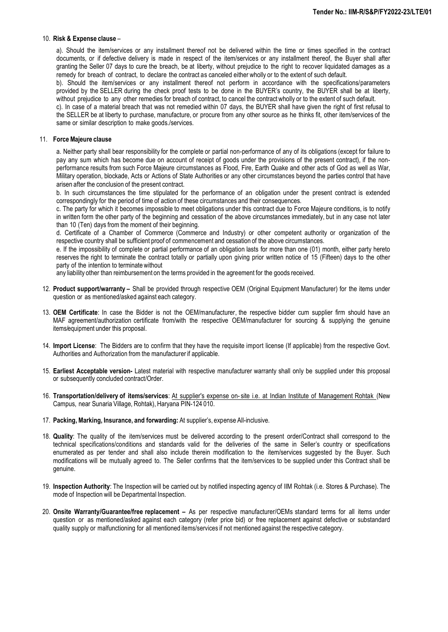#### 10. **Risk & Expense clause** –

a). Should the item/services or any installment thereof not be delivered within the time or times specified in the contract documents, or if defective delivery is made in respect of the item/services or any installment thereof, the Buyer shall after granting the Seller 07 days to cure the breach, be at liberty, without prejudice to the right to recover liquidated damages as a remedy for breach of contract, to declare the contract as canceled either wholly or to the extent of such default.

b). Should the item/services or any installment thereof not perform in accordance with the specifications/parameters provided by the SELLER during the check proof tests to be done in the BUYER's country, the BUYER shall be at liberty, without prejudice to any other remedies for breach of contract, to cancel the contract wholly or to the extent of such default.

c). In case of a material breach that was not remedied within 07 days, the BUYER shall have given the right of first refusal to the SELLER be at liberty to purchase, manufacture, or procure from any other source as he thinks fit, other item/services of the same or similar description to make goods./services.

#### 11. **Force Majeure clause**

a. Neither party shall bear responsibility for the complete or partial non-performance of any of its obligations (except for failure to pay any sum which has become due on account of receipt of goods under the provisions of the present contract), if the nonperformance results from such Force Majeure circumstances as Flood, Fire, Earth Quake and other acts of God as well as War, Military operation, blockade, Acts or Actions of State Authorities or any other circumstances beyond the parties control that have arisen after the conclusion of the present contract.

b. In such circumstances the time stipulated for the performance of an obligation under the present contract is extended correspondingly for the period of time of action of these circumstances and their consequences.

c. The party for which it becomes impossible to meet obligations under this contract due to Force Majeure conditions, is to notify in written form the other party of the beginning and cessation of the above circumstances immediately, but in any case not later than 10 (Ten) days from the moment of their beginning.

d. Certificate of a Chamber of Commerce (Commerce and Industry) or other competent authority or organization of the respective country shall be sufficient proof of commencement and cessation of the above circumstances.

e. If the impossibility of complete or partial performance of an obligation lasts for more than one (01) month, either party hereto reserves the right to terminate the contract totally or partially upon giving prior written notice of 15 (Fifteen) days to the other party of the intention to terminatewithout

any liability other than reimbursement on the terms provided in the agreement for the goods received.

- 12. **Product support/warranty –** Shall be provided through respective OEM (Original Equipment Manufacturer) for the items under question or as mentioned/asked against each category.
- 13. **OEM Certificate**: In case the Bidder is not the OEM/manufacturer, the respective bidder cum supplier firm should have an MAF agreement/authorization certificate from/with the respective OEM/manufacturer for sourcing & supplying the genuine items/equipment under this proposal.
- 14. **Import License**: The Bidders are to confirm that they have the requisite import license (If applicable) from the respective Govt. Authorities and Authorization from the manufacturer if applicable.
- 15. **Earliest Acceptable version-** Latest material with respective manufacturer warranty shall only be supplied under this proposal or subsequently concluded contract/Order.
- 16. **Transportation/delivery of items/services**: At supplier's expense on- site i.e. at Indian Institute of Management Rohtak (New Campus, near Sunaria Village, Rohtak), Haryana PIN-124 010.
- 17. **Packing,Marking, Insurance, and forwarding:** At supplier's, expense All-inclusive.
- 18. **Quality**: The quality of the item/services must be delivered according to the present order/Contract shall correspond to the technical specifications/conditions and standards valid for the deliveries of the same in Seller's country or specifications enumerated as per tender and shall also include therein modification to the item/services suggested by the Buyer. Such modifications will be mutually agreed to. The Seller confirms that the item/services to be supplied under this Contract shall be genuine.
- 19. **Inspection Authority**: The Inspection will be carried out by notified inspecting agency of IIM Rohtak (i.e. Stores & Purchase). The mode of Inspection will be Departmental Inspection.
- 20. **Onsite Warranty/Guarantee/free replacement –** As per respective manufacturer/OEMs standard terms for all items under question or as mentioned/asked against each category (refer price bid) or free replacement against defective or substandard quality supply or malfunctioning for all mentioned items/services if not mentioned against the respective category.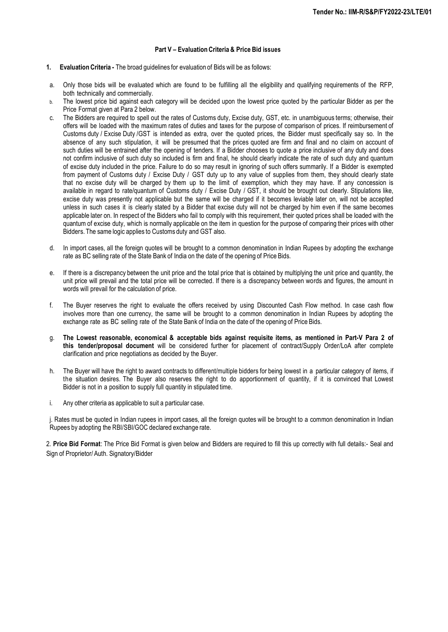#### **Part V – Evaluation Criteria & Price Bid issues**

- **1. Evaluation Criteria -** The broad guidelines for evaluation of Bids will be as follows:
- a. Only those bids will be evaluated which are found to be fulfilling all the eligibility and qualifying requirements of the RFP, both technically and commercially.
- b. The lowest price bid against each category will be decided upon the lowest price quoted by the particular Bidder as per the Price Format given at Para 2 below.
- c. The Bidders are required to spell out the rates of Customs duty, Excise duty, GST, etc. in unambiguous terms; otherwise, their offers will be loaded with the maximum rates of duties and taxes for the purpose of comparison of prices. If reimbursement of Customs duty / Excise Duty /GST is intended as extra, over the quoted prices, the Bidder must specifically say so. In the absence of any such stipulation, it will be presumed that the prices quoted are firm and final and no claim on account of such duties will be entrained after the opening of tenders. If a Bidder chooses to quote a price inclusive of any duty and does not confirm inclusive of such duty so included is firm and final, he should clearly indicate the rate of such duty and quantum of excise duty included in the price. Failure to do so may result in ignoring of such offers summarily. If a Bidder is exempted from payment of Customs duty / Excise Duty / GST duty up to any value of supplies from them, they should clearly state that no excise duty will be charged by them up to the limit of exemption, which they may have. If any concession is available in regard to rate/quantum of Customs duty / Excise Duty / GST, it should be brought out clearly. Stipulations like, excise duty was presently not applicable but the same will be charged if it becomes leviable later on, will not be accepted unless in such cases it is clearly stated by a Bidder that excise duty will not be charged by him even if the same becomes applicable later on. In respect of the Bidders who fail to comply with this requirement, their quoted prices shall be loaded with the quantum of excise duty, which is normally applicable on the item in question for the purpose of comparing their prices with other Bidders. The same logic applies to Customs duty and GST also.
- d. In import cases, all the foreign quotes will be brought to a common denomination in Indian Rupees by adopting the exchange rate as BC selling rate of the State Bank of India on the date of the opening of Price Bids.
- e. If there is a discrepancy between the unit price and the total price that is obtained by multiplying the unit price and quantity, the unit price will prevail and the total price will be corrected. If there is a discrepancy between words and figures, the amount in words will prevail for the calculation of price.
- f. The Buyer reserves the right to evaluate the offers received by using Discounted Cash Flow method. In case cash flow involves more than one currency, the same will be brought to a common denomination in Indian Rupees by adopting the exchange rate as BC selling rate of the State Bank of India on the date of the opening of Price Bids.
- g. The Lowest reasonable, economical & acceptable bids against requisite items, as mentioned in Part-V Para 2 of **this tender/proposal document** will be considered further for placement of contract/Supply Order/LoA after complete clarification and price negotiations as decided by the Buyer.
- h. The Buyer will have the right to award contracts to different/multiple bidders for being lowest in a particular category of items, if the situation desires. The Buyer also reserves the right to do apportionment of quantity, if it is convinced that Lowest Bidder is not in a position to supply full quantity in stipulated time.
- i. Any other criteria as applicable to suit a particular case.

j. Rates must be quoted in Indian rupees in import cases, all the foreign quotes will be brought to a common denomination in Indian Rupees by adopting the RBI/SBI/GOC declared exchange rate.

2. **Price Bid Format**: The Price Bid Format is given below and Bidders are required to fill this up correctly with full details:- Seal and Sign of Proprietor/ Auth. Signatory/Bidder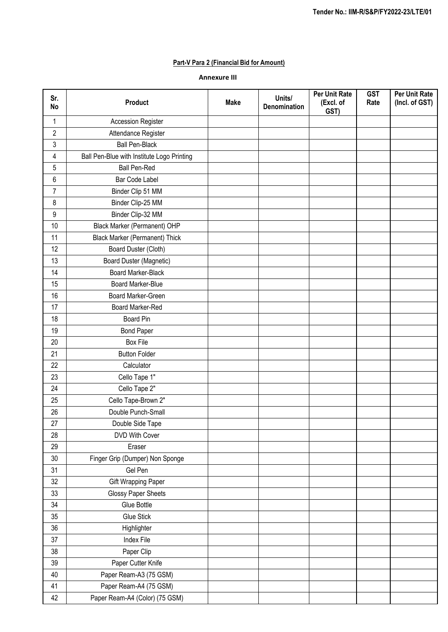# **Part-V Para 2 (Financial Bid for Amount)**

### **Annexure III**

| Sr.<br>No      | <b>Product</b>                             | <b>Make</b> | Units/<br>Denomination | <b>Per Unit Rate</b><br>(Excl. of<br>GST) | <b>GST</b><br>Rate | <b>Per Unit Rate</b><br>(Incl. of GST) |
|----------------|--------------------------------------------|-------------|------------------------|-------------------------------------------|--------------------|----------------------------------------|
| $\mathbf{1}$   | Accession Register                         |             |                        |                                           |                    |                                        |
| $\overline{c}$ | Attendance Register                        |             |                        |                                           |                    |                                        |
| 3              | <b>Ball Pen-Black</b>                      |             |                        |                                           |                    |                                        |
| 4              | Ball Pen-Blue with Institute Logo Printing |             |                        |                                           |                    |                                        |
| 5              | <b>Ball Pen-Red</b>                        |             |                        |                                           |                    |                                        |
| 6              | Bar Code Label                             |             |                        |                                           |                    |                                        |
| $\overline{7}$ | Binder Clip 51 MM                          |             |                        |                                           |                    |                                        |
| 8              | Binder Clip-25 MM                          |             |                        |                                           |                    |                                        |
| 9              | Binder Clip-32 MM                          |             |                        |                                           |                    |                                        |
| 10             | Black Marker (Permanent) OHP               |             |                        |                                           |                    |                                        |
| 11             | <b>Black Marker (Permanent) Thick</b>      |             |                        |                                           |                    |                                        |
| 12             | Board Duster (Cloth)                       |             |                        |                                           |                    |                                        |
| 13             | Board Duster (Magnetic)                    |             |                        |                                           |                    |                                        |
| 14             | <b>Board Marker-Black</b>                  |             |                        |                                           |                    |                                        |
| 15             | Board Marker-Blue                          |             |                        |                                           |                    |                                        |
| 16             | Board Marker-Green                         |             |                        |                                           |                    |                                        |
| 17             | Board Marker-Red                           |             |                        |                                           |                    |                                        |
| 18             | <b>Board Pin</b>                           |             |                        |                                           |                    |                                        |
| 19             | <b>Bond Paper</b>                          |             |                        |                                           |                    |                                        |
| 20             | <b>Box File</b>                            |             |                        |                                           |                    |                                        |
| 21             | <b>Button Folder</b>                       |             |                        |                                           |                    |                                        |
| 22             | Calculator                                 |             |                        |                                           |                    |                                        |
| 23             | Cello Tape 1"                              |             |                        |                                           |                    |                                        |
| 24             | Cello Tape 2"                              |             |                        |                                           |                    |                                        |
| 25             | Cello Tape-Brown 2"                        |             |                        |                                           |                    |                                        |
| 26             | Double Punch-Small                         |             |                        |                                           |                    |                                        |
| 27             | Double Side Tape                           |             |                        |                                           |                    |                                        |
| 28             | DVD With Cover                             |             |                        |                                           |                    |                                        |
| 29             | Eraser                                     |             |                        |                                           |                    |                                        |
| $30\,$         | Finger Grip (Dumper) Non Sponge            |             |                        |                                           |                    |                                        |
| 31             | Gel Pen                                    |             |                        |                                           |                    |                                        |
| 32             | Gift Wrapping Paper                        |             |                        |                                           |                    |                                        |
| 33             | Glossy Paper Sheets                        |             |                        |                                           |                    |                                        |
| 34             | Glue Bottle                                |             |                        |                                           |                    |                                        |
| 35             | <b>Glue Stick</b>                          |             |                        |                                           |                    |                                        |
| 36             | Highlighter                                |             |                        |                                           |                    |                                        |
| 37             | Index File                                 |             |                        |                                           |                    |                                        |
| 38             | Paper Clip                                 |             |                        |                                           |                    |                                        |
| 39             | Paper Cutter Knife                         |             |                        |                                           |                    |                                        |
| 40             | Paper Ream-A3 (75 GSM)                     |             |                        |                                           |                    |                                        |
| 41             | Paper Ream-A4 (75 GSM)                     |             |                        |                                           |                    |                                        |
| 42             | Paper Ream-A4 (Color) (75 GSM)             |             |                        |                                           |                    |                                        |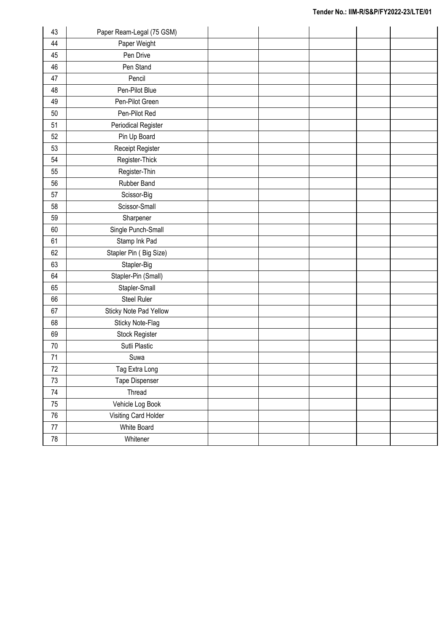| 43         | Paper Ream-Legal (75 GSM) |  |  |  |
|------------|---------------------------|--|--|--|
| 44         | Paper Weight              |  |  |  |
| 45         | Pen Drive                 |  |  |  |
| 46         | Pen Stand                 |  |  |  |
| 47         | Pencil                    |  |  |  |
| 48         | Pen-Pilot Blue            |  |  |  |
| 49         | Pen-Pilot Green           |  |  |  |
| 50         | Pen-Pilot Red             |  |  |  |
| 51         | Periodical Register       |  |  |  |
| 52         | Pin Up Board              |  |  |  |
| 53         | Receipt Register          |  |  |  |
| 54         | Register-Thick            |  |  |  |
| 55         | Register-Thin             |  |  |  |
| 56         | Rubber Band               |  |  |  |
| 57         | Scissor-Big               |  |  |  |
| 58         | Scissor-Small             |  |  |  |
| 59         | Sharpener                 |  |  |  |
| 60         | Single Punch-Small        |  |  |  |
| 61         | Stamp Ink Pad             |  |  |  |
| 62         | Stapler Pin (Big Size)    |  |  |  |
| 63         | Stapler-Big               |  |  |  |
| 64         | Stapler-Pin (Small)       |  |  |  |
| 65         | Stapler-Small             |  |  |  |
| 66         | <b>Steel Ruler</b>        |  |  |  |
| 67         | Sticky Note Pad Yellow    |  |  |  |
| 68         | Sticky Note-Flag          |  |  |  |
| 69         | Stock Register            |  |  |  |
| 70         | Sutli Plastic             |  |  |  |
| 71         | Suwa                      |  |  |  |
| $72\,$     | Tag Extra Long            |  |  |  |
| 73         | Tape Dispenser            |  |  |  |
| 74         | Thread                    |  |  |  |
| 75         | Vehicle Log Book          |  |  |  |
| 76         | Visiting Card Holder      |  |  |  |
| $77\,$     | White Board               |  |  |  |
| ${\bf 78}$ | Whitener                  |  |  |  |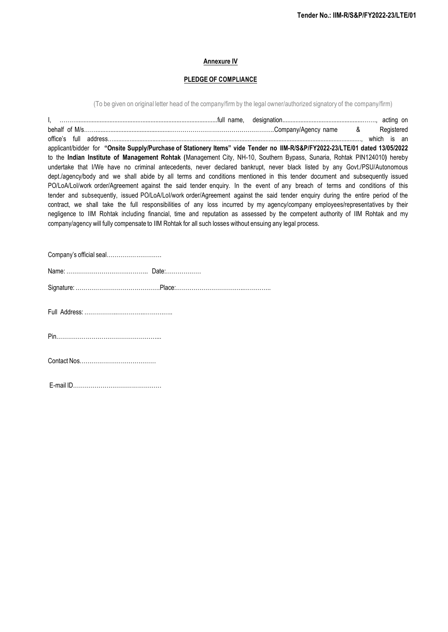# **Annexure IV**

# **PLEDGE OF COMPLIANCE**

(To be given on original letter head of the company/firm by the legal owner/authorized signatory of the company/firm)

| applicant/bidder for "Onsite Supply/Purchase of Stationery Items" vide Tender no IIM-R/S&P/FY2022-23/LTE/01 dated 13/05/2022    |  |
|---------------------------------------------------------------------------------------------------------------------------------|--|
| to the Indian Institute of Management Rohtak (Management City, NH-10, Southern Bypass, Sunaria, Rohtak PIN124010) hereby        |  |
| undertake that I/We have no criminal antecedents, never declared bankrupt, never black listed by any Govt./PSU/Autonomous       |  |
| dept./agency/body and we shall abide by all terms and conditions mentioned in this tender document and subsequently issued      |  |
| PO/LoA/Lol/work order/Agreement against the said tender enquiry. In the event of any breach of terms and conditions of this     |  |
| tender and subsequently, issued PO/LoA/Lol/work order/Agreement against the said tender enquiry during the entire period of the |  |
| contract, we shall take the full responsibilities of any loss incurred by my agency/company employees/representatives by their  |  |
| negligence to IIM Rohtak including financial, time and reputation as assessed by the competent authority of IIM Rohtak and my   |  |
| company/agency will fully compensate to IIM Rohtak for all such losses without ensuing any legal process.                       |  |
|                                                                                                                                 |  |
|                                                                                                                                 |  |
|                                                                                                                                 |  |
|                                                                                                                                 |  |
|                                                                                                                                 |  |
|                                                                                                                                 |  |
|                                                                                                                                 |  |
|                                                                                                                                 |  |
|                                                                                                                                 |  |
|                                                                                                                                 |  |
|                                                                                                                                 |  |
|                                                                                                                                 |  |
|                                                                                                                                 |  |
|                                                                                                                                 |  |

E-mail ID………………………………………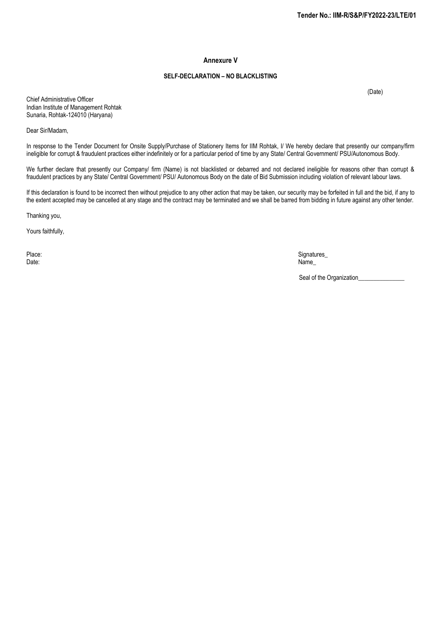#### **Annexure V**

#### **SELF-DECLARATION – NO BLACKLISTING**

(Date)

Chief Administrative Officer Indian Institute of Management Rohtak Sunaria, Rohtak-124010 (Haryana)

Dear Sir/Madam,

In response to the Tender Document for Onsite Supply/Purchase of Stationery Items for IIM Rohtak, I/ We hereby declare that presently our company/firm ineligible for corrupt & fraudulent practices either indefinitely or for a particular period of time by any State/ Central Government/ PSU/Autonomous Body.

We further declare that presently our Company/ firm (Name) is not blacklisted or debarred and not declared ineligible for reasons other than corrupt & fraudulent practices by any State/ Central Government/ PSU/ Autonomous Body on the date of Bid Submission including violation of relevant labour laws.

If this declaration is found to be incorrect then without prejudice to any other action that may be taken, our security may be forfeited in full and the bid, if any to the extent accepted may be cancelled at any stage and the contract may be terminated and we shall be barred from bidding in future against any other tender.

Thanking you,

Yours faithfully,

Place: Signatures\_ Date: Name\_

Seal of the Organization\_